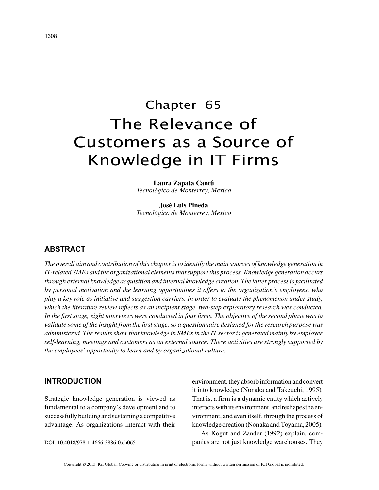# Chapter 65 The Relevance of Customers as a Source of Knowledge in IT Firms

**Laura Zapata Cantú** *Tecnológico de Monterrey, Mexico*

**José Luis Pineda** *Tecnológico de Monterrey, Mexico*

# **ABSTRACT**

*The overall aim and contribution of this chapter is to identify the main sources of knowledge generation in IT-related SMEs and the organizational elements that support this process. Knowledge generation occurs through external knowledge acquisition and internal knowledge creation. The latter process is facilitated by personal motivation and the learning opportunities it offers to the organization's employees, who play a key role as initiative and suggestion carriers. In order to evaluate the phenomenon under study, which the literature review reflects as an incipient stage, two-step exploratory research was conducted. In the first stage, eight interviews were conducted in four firms. The objective of the second phase was to validate some of the insight from the first stage, so a questionnaire designed for the research purpose was administered. The results show that knowledge in SMEs in the IT sector is generated mainly by employee self-learning, meetings and customers as an external source. These activities are strongly supported by the employees' opportunity to learn and by organizational culture.*

## **INTRODUCTION**

Strategic knowledge generation is viewed as fundamental to a company's development and to successfully building and sustaining a competitive advantage. As organizations interact with their

DOI: 10.4018/978-1-4666-3886-0.ch065

environment, they absorb information and convert it into knowledge (Nonaka and Takeuchi, 1995). That is, a firm is a dynamic entity which actively interacts with its environment, and reshapes the environment, and even itself, through the process of knowledge creation (Nonaka and Toyama, 2005).

As Kogut and Zander (1992) explain, companies are not just knowledge warehouses. They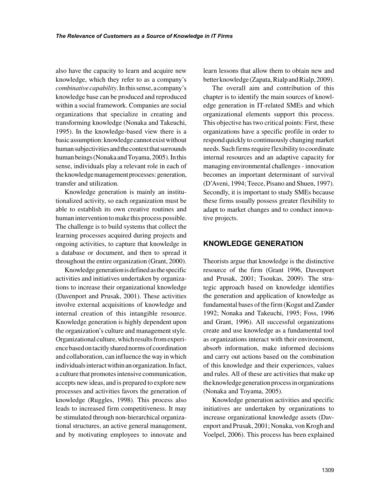also have the capacity to learn and acquire new knowledge, which they refer to as a company's *combinative capability*. In this sense, a company's knowledge base can be produced and reproduced within a social framework. Companies are social organizations that specialize in creating and transforming knowledge (Nonaka and Takeuchi, 1995). In the knowledge-based view there is a basic assumption: knowledge cannot exist without human subjectivities and the context that surrounds human beings (Nonaka and Toyama, 2005). In this sense, individuals play a relevant role in each of the knowledge management processes: generation, transfer and utilization.

Knowledge generation is mainly an institutionalized activity, so each organization must be able to establish its own creative routines and human intervention to make this process possible. The challenge is to build systems that collect the learning processes acquired during projects and ongoing activities, to capture that knowledge in a database or document, and then to spread it throughout the entire organization (Grant, 2000).

Knowledge generation is defined as the specific activities and initiatives undertaken by organizations to increase their organizational knowledge (Davenport and Prusak, 2001). These activities involve external acquisitions of knowledge and internal creation of this intangible resource. Knowledge generation is highly dependent upon the organization's culture and management style. Organizational culture, which results from experience based on tacitly shared norms of coordination and collaboration, can influence the way in which individuals interact within an organization. In fact, a culture that promotes intensive communication, accepts new ideas, and is prepared to explore new processes and activities favors the generation of knowledge (Ruggles, 1998). This process also leads to increased firm competitiveness. It may be stimulated through non-hierarchical organizational structures, an active general management, and by motivating employees to innovate and

learn lessons that allow them to obtain new and better knowledge (Zapata, Rialp and Rialp, 2009).

The overall aim and contribution of this chapter is to identify the main sources of knowledge generation in IT-related SMEs and which organizational elements support this process. This objective has two critical points: First, these organizations have a specific profile in order to respond quickly to continuously changing market needs. Such firms require flexibility to coordinate internal resources and an adaptive capacity for managing environmental challenges - innovation becomes an important determinant of survival (D'Aveni, 1994; Teece, Pisano and Shuen, 1997). Secondly, it is important to study SMEs because these firms usually possess greater flexibility to adapt to market changes and to conduct innovative projects.

## **KNOWLEDGE GENERATION**

Theorists argue that knowledge is the distinctive resource of the firm (Grant 1996, Davenport and Prusak, 2001; Tsoukas, 2009). The strategic approach based on knowledge identifies the generation and application of knowledge as fundamental bases of the firm (Kogut and Zander 1992; Nonaka and Takeuchi, 1995; Foss, 1996 and Grant, 1996). All successful organizations create and use knowledge as a fundamental tool as organizations interact with their environment, absorb information, make informed decisions and carry out actions based on the combination of this knowledge and their experiences, values and rules. All of these are activities that make up the knowledge generation process in organizations (Nonaka and Toyama, 2005).

Knowledge generation activities and specific initiatives are undertaken by organizations to increase organizational knowledge assets (Davenport and Prusak, 2001; Nonaka, von Krogh and Voelpel, 2006). This process has been explained